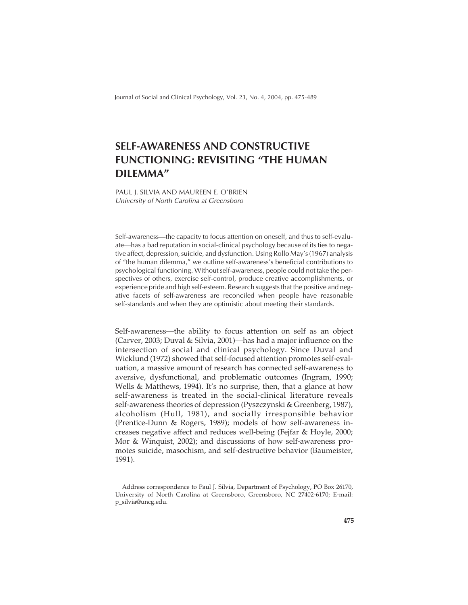Journal of Social and Clinical Psychology, Vol. 23, No. 4, 2004, pp. 475-489

# **SELF-AWARENESS AND CONSTRUCTIVE FUNCTIONING: REVISITING "THE HUMAN DILEMMA"**

PAUL J. SILVIA AND MAUREEN E. O'BRIEN University of North Carolina at Greensboro

Self-awareness—the capacity to focus attention on oneself, and thus to self-evaluate—has a bad reputation in social-clinical psychology because of its ties to negative affect, depression, suicide, and dysfunction. Using Rollo May's (1967) analysis of "the human dilemma," we outline self-awareness's beneficial contributions to psychological functioning. Without self-awareness, people could not take the perspectives of others, exercise self-control, produce creative accomplishments, or experience pride and high self-esteem. Research suggests that the positive and negative facets of self-awareness are reconciled when people have reasonable self-standards and when they are optimistic about meeting their standards.

Self-awareness—the ability to focus attention on self as an object (Carver, 2003; Duval & Silvia, 2001)—has had a major influence on the intersection of social and clinical psychology. Since Duval and Wicklund (1972) showed that self-focused attention promotes self-evaluation, a massive amount of research has connected self-awareness to aversive, dysfunctional, and problematic outcomes (Ingram, 1990; Wells & Matthews, 1994). It's no surprise, then, that a glance at how self-awareness is treated in the social-clinical literature reveals self-awareness theories of depression (Pyszczynski & Greenberg, 1987), alcoholism (Hull, 1981), and socially irresponsible behavior (Prentice-Dunn & Rogers, 1989); models of how self-awareness increases negative affect and reduces well-being (Fejfar & Hoyle, 2000; Mor & Winquist, 2002); and discussions of how self-awareness promotes suicide, masochism, and self-destructive behavior (Baumeister, 1991).

Address correspondence to Paul J. Silvia, Department of Psychology, PO Box 26170, University of North Carolina at Greensboro, Greensboro, NC 27402-6170; E-mail: p\_silvia@uncg.edu.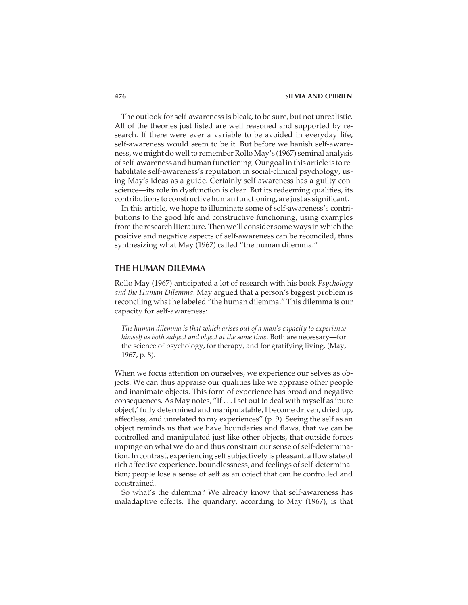The outlook for self-awareness is bleak, to be sure, but not unrealistic. All of the theories just listed are well reasoned and supported by research. If there were ever a variable to be avoided in everyday life, self-awareness would seem to be it. But before we banish self-awareness, we might do well to remember Rollo May's (1967) seminal analysis of self-awareness and human functioning. Our goal in this article is to rehabilitate self-awareness's reputation in social-clinical psychology, using May's ideas as a guide. Certainly self-awareness has a guilty conscience—its role in dysfunction is clear. But its redeeming qualities, its contributions to constructive human functioning, are just as significant.

In this article, we hope to illuminate some of self-awareness's contributions to the good life and constructive functioning, using examples from the research literature. Then we'll consider some ways in which the positive and negative aspects of self-awareness can be reconciled, thus synthesizing what May (1967) called "the human dilemma."

## **THE HUMAN DILEMMA**

Rollo May (1967) anticipated a lot of research with his book *Psychology and the Human Dilemma*. May argued that a person's biggest problem is reconciling what he labeled "the human dilemma." This dilemma is our capacity for self-awareness:

*The human dilemma is that which arises out of a man's capacity to experience himself as both subject and object at the same time*. Both are necessary—for the science of psychology, for therapy, and for gratifying living. (May, 1967, p. 8).

When we focus attention on ourselves, we experience our selves as objects. We can thus appraise our qualities like we appraise other people and inanimate objects. This form of experience has broad and negative consequences. As May notes, "If . . . I set out to deal with myself as 'pure object,' fully determined and manipulatable, I become driven, dried up, affectless, and unrelated to my experiences" (p. 9). Seeing the self as an object reminds us that we have boundaries and flaws, that we can be controlled and manipulated just like other objects, that outside forces impinge on what we do and thus constrain our sense of self-determination. In contrast, experiencing self subjectively is pleasant, a flow state of rich affective experience, boundlessness, and feelings of self-determination; people lose a sense of self as an object that can be controlled and constrained.

So what's the dilemma? We already know that self-awareness has maladaptive effects. The quandary, according to May (1967), is that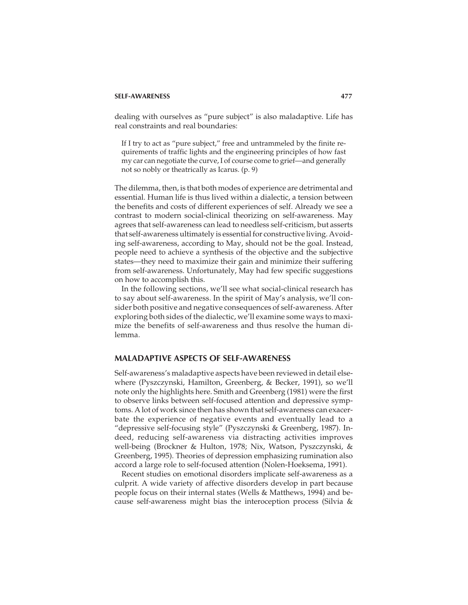dealing with ourselves as "pure subject" is also maladaptive. Life has real constraints and real boundaries:

If I try to act as "pure subject," free and untrammeled by the finite requirements of traffic lights and the engineering principles of how fast my car can negotiate the curve, I of course come to grief—and generally not so nobly or theatrically as Icarus. (p. 9)

The dilemma, then, is that both modes of experience are detrimental and essential. Human life is thus lived within a dialectic, a tension between the benefits and costs of different experiences of self. Already we see a contrast to modern social-clinical theorizing on self-awareness. May agrees that self-awareness can lead to needless self-criticism, but asserts that self-awareness ultimately is essential for constructive living. Avoiding self-awareness, according to May, should not be the goal. Instead, people need to achieve a synthesis of the objective and the subjective states—they need to maximize their gain and minimize their suffering from self-awareness. Unfortunately, May had few specific suggestions on how to accomplish this.

In the following sections, we'll see what social-clinical research has to say about self-awareness. In the spirit of May's analysis, we'll consider both positive and negative consequences of self-awareness. After exploring both sides of the dialectic, we'll examine some ways to maximize the benefits of self-awareness and thus resolve the human dilemma.

## **MALADAPTIVE ASPECTS OF SELF-AWARENESS**

Self-awareness's maladaptive aspects have been reviewed in detail elsewhere (Pyszczynski, Hamilton, Greenberg, & Becker, 1991), so we'll note only the highlights here. Smith and Greenberg (1981) were the first to observe links between self-focused attention and depressive symptoms. A lot of work since then has shown that self-awareness can exacerbate the experience of negative events and eventually lead to a "depressive self-focusing style" (Pyszczynski & Greenberg, 1987). Indeed, reducing self-awareness via distracting activities improves well-being (Brockner & Hulton, 1978; Nix, Watson, Pyszczynski, & Greenberg, 1995). Theories of depression emphasizing rumination also accord a large role to self-focused attention (Nolen-Hoeksema, 1991).

Recent studies on emotional disorders implicate self-awareness as a culprit. A wide variety of affective disorders develop in part because people focus on their internal states (Wells & Matthews, 1994) and because self-awareness might bias the interoception process (Silvia &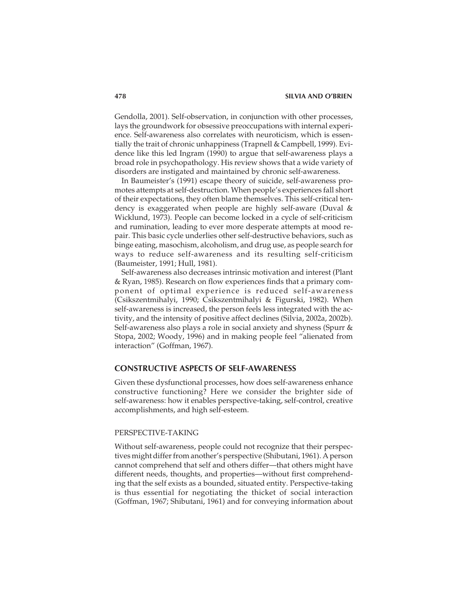Gendolla, 2001). Self-observation, in conjunction with other processes, lays the groundwork for obsessive preoccupations with internal experience. Self-awareness also correlates with neuroticism, which is essentially the trait of chronic unhappiness (Trapnell & Campbell, 1999). Evidence like this led Ingram (1990) to argue that self-awareness plays a broad role in psychopathology. His review shows that a wide variety of disorders are instigated and maintained by chronic self-awareness.

In Baumeister's (1991) escape theory of suicide, self-awareness promotes attempts at self-destruction. When people's experiences fall short of their expectations, they often blame themselves. This self-critical tendency is exaggerated when people are highly self-aware (Duval & Wicklund, 1973). People can become locked in a cycle of self-criticism and rumination, leading to ever more desperate attempts at mood repair. This basic cycle underlies other self-destructive behaviors, such as binge eating, masochism, alcoholism, and drug use, as people search for ways to reduce self-awareness and its resulting self-criticism (Baumeister, 1991; Hull, 1981).

Self-awareness also decreases intrinsic motivation and interest (Plant & Ryan, 1985). Research on flow experiences finds that a primary component of optimal experience is reduced self-awareness (Csikszentmihalyi, 1990; Csikszentmihalyi & Figurski, 1982). When self-awareness is increased, the person feels less integrated with the activity, and the intensity of positive affect declines (Silvia, 2002a, 2002b). Self-awareness also plays a role in social anxiety and shyness (Spurr & Stopa, 2002; Woody, 1996) and in making people feel "alienated from interaction" (Goffman, 1967).

## **CONSTRUCTIVE ASPECTS OF SELF-AWARENESS**

Given these dysfunctional processes, how does self-awareness enhance constructive functioning? Here we consider the brighter side of self-awareness: how it enables perspective-taking, self-control, creative accomplishments, and high self-esteem.

## PERSPECTIVE-TAKING

Without self-awareness, people could not recognize that their perspectives might differ from another's perspective (Shibutani, 1961). A person cannot comprehend that self and others differ—that others might have different needs, thoughts, and properties—without first comprehending that the self exists as a bounded, situated entity. Perspective-taking is thus essential for negotiating the thicket of social interaction (Goffman, 1967; Shibutani, 1961) and for conveying information about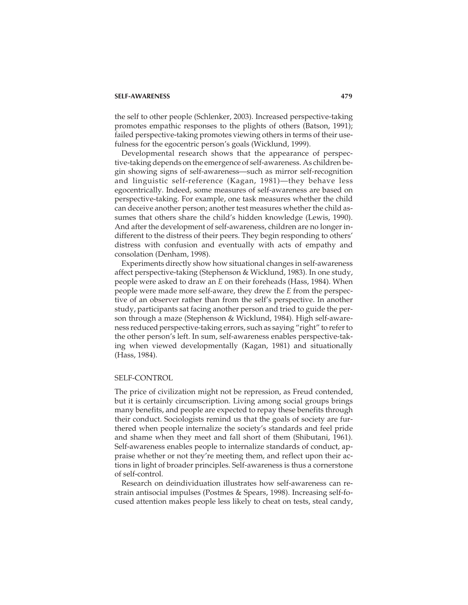the self to other people (Schlenker, 2003). Increased perspective-taking promotes empathic responses to the plights of others (Batson, 1991); failed perspective-taking promotes viewing others in terms of their usefulness for the egocentric person's goals (Wicklund, 1999).

Developmental research shows that the appearance of perspective-taking depends on the emergence of self-awareness. As children begin showing signs of self-awareness—such as mirror self-recognition and linguistic self-reference (Kagan, 1981)—they behave less egocentrically. Indeed, some measures of self-awareness are based on perspective-taking. For example, one task measures whether the child can deceive another person; another test measures whether the child assumes that others share the child's hidden knowledge (Lewis, 1990). And after the development of self-awareness, children are no longer indifferent to the distress of their peers. They begin responding to others' distress with confusion and eventually with acts of empathy and consolation (Denham, 1998).

Experiments directly show how situational changes in self-awareness affect perspective-taking (Stephenson & Wicklund, 1983). In one study, people were asked to draw an *E* on their foreheads (Hass, 1984). When people were made more self-aware, they drew the *E* from the perspective of an observer rather than from the self's perspective. In another study, participants sat facing another person and tried to guide the person through a maze (Stephenson & Wicklund, 1984). High self-awareness reduced perspective-taking errors, such as saying "right" to refer to the other person's left. In sum, self-awareness enables perspective-taking when viewed developmentally (Kagan, 1981) and situationally (Hass, 1984).

### SELF-CONTROL

The price of civilization might not be repression, as Freud contended, but it is certainly circumscription. Living among social groups brings many benefits, and people are expected to repay these benefits through their conduct. Sociologists remind us that the goals of society are furthered when people internalize the society's standards and feel pride and shame when they meet and fall short of them (Shibutani, 1961). Self-awareness enables people to internalize standards of conduct, appraise whether or not they're meeting them, and reflect upon their actions in light of broader principles. Self-awareness is thus a cornerstone of self-control.

Research on deindividuation illustrates how self-awareness can restrain antisocial impulses (Postmes & Spears, 1998). Increasing self-focused attention makes people less likely to cheat on tests, steal candy,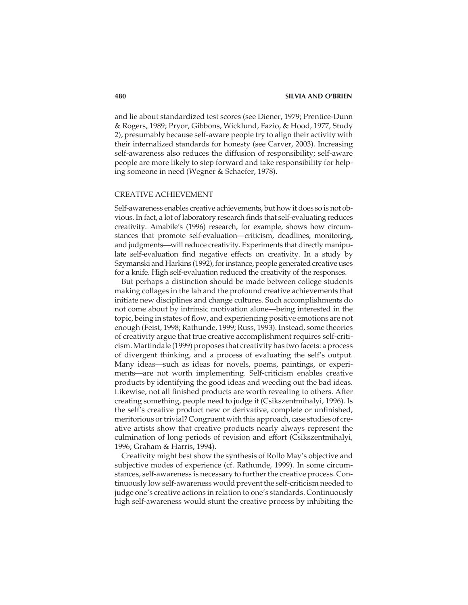and lie about standardized test scores (see Diener, 1979; Prentice-Dunn & Rogers, 1989; Pryor, Gibbons, Wicklund, Fazio, & Hood, 1977, Study 2), presumably because self-aware people try to align their activity with their internalized standards for honesty (see Carver, 2003). Increasing self-awareness also reduces the diffusion of responsibility; self-aware people are more likely to step forward and take responsibility for helping someone in need (Wegner & Schaefer, 1978).

## CREATIVE ACHIEVEMENT

Self-awareness enables creative achievements, but how it does so is not obvious. In fact, a lot of laboratory research finds that self-evaluating reduces creativity. Amabile's (1996) research, for example, shows how circumstances that promote self-evaluation—criticism, deadlines, monitoring, and judgments—will reduce creativity. Experiments that directly manipulate self-evaluation find negative effects on creativity. In a study by Szymanski and Harkins (1992), for instance, people generated creative uses for a knife. High self-evaluation reduced the creativity of the responses.

But perhaps a distinction should be made between college students making collages in the lab and the profound creative achievements that initiate new disciplines and change cultures. Such accomplishments do not come about by intrinsic motivation alone—being interested in the topic, being in states of flow, and experiencing positive emotions are not enough (Feist, 1998; Rathunde, 1999; Russ, 1993). Instead, some theories of creativity argue that true creative accomplishment requires self-criticism. Martindale (1999) proposes that creativity has two facets: a process of divergent thinking, and a process of evaluating the self's output. Many ideas—such as ideas for novels, poems, paintings, or experiments—are not worth implementing. Self-criticism enables creative products by identifying the good ideas and weeding out the bad ideas. Likewise, not all finished products are worth revealing to others. After creating something, people need to judge it (Csikszentmihalyi, 1996). Is the self's creative product new or derivative, complete or unfinished, meritorious or trivial? Congruent with this approach, case studies of creative artists show that creative products nearly always represent the culmination of long periods of revision and effort (Csikszentmihalyi, 1996; Graham & Harris, 1994).

Creativity might best show the synthesis of Rollo May's objective and subjective modes of experience (cf. Rathunde, 1999). In some circumstances, self-awareness is necessary to further the creative process. Continuously low self-awareness would prevent the self-criticism needed to judge one's creative actions in relation to one's standards. Continuously high self-awareness would stunt the creative process by inhibiting the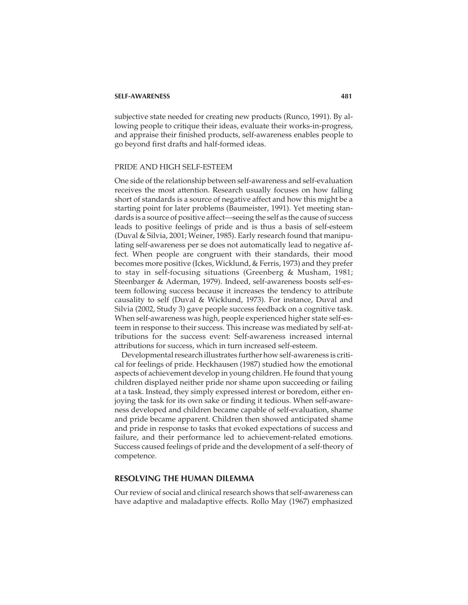subjective state needed for creating new products (Runco, 1991). By allowing people to critique their ideas, evaluate their works-in-progress, and appraise their finished products, self-awareness enables people to go beyond first drafts and half-formed ideas.

#### PRIDE AND HIGH SELF-ESTEEM

One side of the relationship between self-awareness and self-evaluation receives the most attention. Research usually focuses on how falling short of standards is a source of negative affect and how this might be a starting point for later problems (Baumeister, 1991). Yet meeting standards is a source of positive affect—seeing the self as the cause of success leads to positive feelings of pride and is thus a basis of self-esteem (Duval & Silvia, 2001; Weiner, 1985). Early research found that manipulating self-awareness per se does not automatically lead to negative affect. When people are congruent with their standards, their mood becomes more positive (Ickes, Wicklund, & Ferris, 1973) and they prefer to stay in self-focusing situations (Greenberg & Musham, 1981; Steenbarger & Aderman, 1979). Indeed, self-awareness boosts self-esteem following success because it increases the tendency to attribute causality to self (Duval & Wicklund, 1973). For instance, Duval and Silvia (2002, Study 3) gave people success feedback on a cognitive task. When self-awareness was high, people experienced higher state self-esteem in response to their success. This increase was mediated by self-attributions for the success event: Self-awareness increased internal attributions for success, which in turn increased self-esteem.

Developmental research illustrates further how self-awareness is critical for feelings of pride. Heckhausen (1987) studied how the emotional aspects of achievement develop in young children. He found that young children displayed neither pride nor shame upon succeeding or failing at a task. Instead, they simply expressed interest or boredom, either enjoying the task for its own sake or finding it tedious. When self-awareness developed and children became capable of self-evaluation, shame and pride became apparent. Children then showed anticipated shame and pride in response to tasks that evoked expectations of success and failure, and their performance led to achievement-related emotions. Success caused feelings of pride and the development of a self-theory of competence.

# **RESOLVING THE HUMAN DILEMMA**

Our review of social and clinical research shows that self-awareness can have adaptive and maladaptive effects. Rollo May (1967) emphasized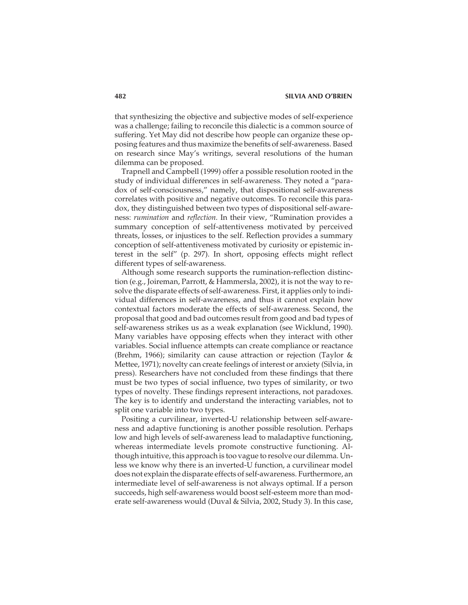that synthesizing the objective and subjective modes of self-experience was a challenge; failing to reconcile this dialectic is a common source of suffering. Yet May did not describe how people can organize these opposing features and thus maximize the benefits of self-awareness. Based on research since May's writings, several resolutions of the human dilemma can be proposed.

Trapnell and Campbell (1999) offer a possible resolution rooted in the study of individual differences in self-awareness. They noted a "paradox of self-consciousness," namely, that dispositional self-awareness correlates with positive and negative outcomes. To reconcile this paradox, they distinguished between two types of dispositional self-awareness: *rumination* and *reflection*. In their view, "Rumination provides a summary conception of self-attentiveness motivated by perceived threats, losses, or injustices to the self. Reflection provides a summary conception of self-attentiveness motivated by curiosity or epistemic interest in the self" (p. 297). In short, opposing effects might reflect different types of self-awareness.

Although some research supports the rumination-reflection distinction (e.g., Joireman, Parrott, & Hammersla, 2002), it is not the way to resolve the disparate effects of self-awareness. First, it applies only to individual differences in self-awareness, and thus it cannot explain how contextual factors moderate the effects of self-awareness. Second, the proposal that good and bad outcomes result from good and bad types of self-awareness strikes us as a weak explanation (see Wicklund, 1990). Many variables have opposing effects when they interact with other variables. Social influence attempts can create compliance or reactance (Brehm, 1966); similarity can cause attraction or rejection (Taylor & Mettee, 1971); novelty can create feelings of interest or anxiety (Silvia, in press). Researchers have not concluded from these findings that there must be two types of social influence, two types of similarity, or two types of novelty. These findings represent interactions, not paradoxes. The key is to identify and understand the interacting variables, not to split one variable into two types.

Positing a curvilinear, inverted-U relationship between self-awareness and adaptive functioning is another possible resolution. Perhaps low and high levels of self-awareness lead to maladaptive functioning, whereas intermediate levels promote constructive functioning. Although intuitive, this approach is too vague to resolve our dilemma. Unless we know why there is an inverted-U function, a curvilinear model does not explain the disparate effects of self-awareness. Furthermore, an intermediate level of self-awareness is not always optimal. If a person succeeds, high self-awareness would boost self-esteem more than moderate self-awareness would (Duval & Silvia, 2002, Study 3). In this case,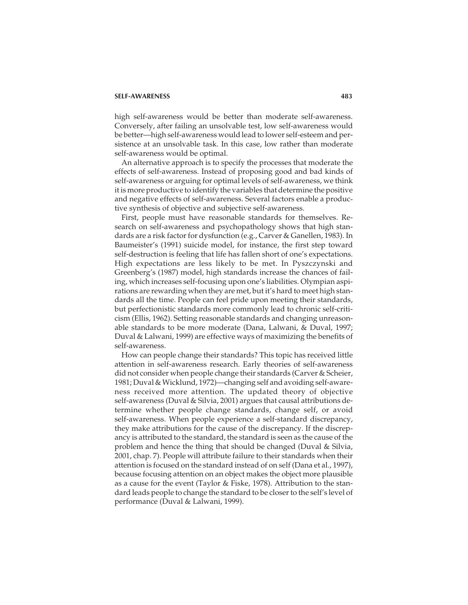high self-awareness would be better than moderate self-awareness. Conversely, after failing an unsolvable test, low self-awareness would be better—high self-awareness would lead to lower self-esteem and persistence at an unsolvable task. In this case, low rather than moderate self-awareness would be optimal.

An alternative approach is to specify the processes that moderate the effects of self-awareness. Instead of proposing good and bad kinds of self-awareness or arguing for optimal levels of self-awareness, we think it is more productive to identify the variables that determine the positive and negative effects of self-awareness. Several factors enable a productive synthesis of objective and subjective self-awareness.

First, people must have reasonable standards for themselves. Research on self-awareness and psychopathology shows that high standards are a risk factor for dysfunction (e.g., Carver & Ganellen, 1983). In Baumeister's (1991) suicide model, for instance, the first step toward self-destruction is feeling that life has fallen short of one's expectations. High expectations are less likely to be met. In Pyszczynski and Greenberg's (1987) model, high standards increase the chances of failing, which increases self-focusing upon one's liabilities. Olympian aspirations are rewarding when they are met, but it's hard to meet high standards all the time. People can feel pride upon meeting their standards, but perfectionistic standards more commonly lead to chronic self-criticism (Ellis, 1962). Setting reasonable standards and changing unreasonable standards to be more moderate (Dana, Lalwani, & Duval, 1997; Duval & Lalwani, 1999) are effective ways of maximizing the benefits of self-awareness.

How can people change their standards? This topic has received little attention in self-awareness research. Early theories of self-awareness did not consider when people change their standards (Carver & Scheier, 1981; Duval & Wicklund, 1972)—changing self and avoiding self-awareness received more attention. The updated theory of objective self-awareness (Duval & Silvia, 2001) argues that causal attributions determine whether people change standards, change self, or avoid self-awareness. When people experience a self-standard discrepancy, they make attributions for the cause of the discrepancy. If the discrepancy is attributed to the standard, the standard is seen as the cause of the problem and hence the thing that should be changed (Duval & Silvia, 2001, chap. 7). People will attribute failure to their standards when their attention is focused on the standard instead of on self (Dana et al., 1997), because focusing attention on an object makes the object more plausible as a cause for the event (Taylor & Fiske, 1978). Attribution to the standard leads people to change the standard to be closer to the self's level of performance (Duval & Lalwani, 1999).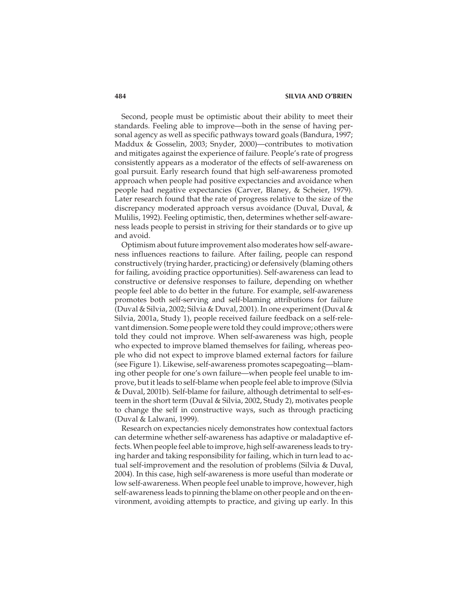Second, people must be optimistic about their ability to meet their standards. Feeling able to improve—both in the sense of having personal agency as well as specific pathways toward goals (Bandura, 1997; Maddux & Gosselin, 2003; Snyder, 2000)—contributes to motivation and mitigates against the experience of failure. People's rate of progress consistently appears as a moderator of the effects of self-awareness on goal pursuit. Early research found that high self-awareness promoted approach when people had positive expectancies and avoidance when people had negative expectancies (Carver, Blaney, & Scheier, 1979). Later research found that the rate of progress relative to the size of the discrepancy moderated approach versus avoidance (Duval, Duval, & Mulilis, 1992). Feeling optimistic, then, determines whether self-awareness leads people to persist in striving for their standards or to give up and avoid.

Optimism about future improvement also moderates how self-awareness influences reactions to failure. After failing, people can respond constructively (trying harder, practicing) or defensively (blaming others for failing, avoiding practice opportunities). Self-awareness can lead to constructive or defensive responses to failure, depending on whether people feel able to do better in the future. For example, self-awareness promotes both self-serving and self-blaming attributions for failure (Duval & Silvia, 2002; Silvia & Duval, 2001). In one experiment (Duval & Silvia, 2001a, Study 1), people received failure feedback on a self-relevant dimension. Some people were told they could improve; others were told they could not improve. When self-awareness was high, people who expected to improve blamed themselves for failing, whereas people who did not expect to improve blamed external factors for failure (see Figure 1). Likewise, self-awareness promotes scapegoating—blaming other people for one's own failure—when people feel unable to improve, but it leads to self-blame when people feel able to improve (Silvia & Duval, 2001b). Self-blame for failure, although detrimental to self-esteem in the short term (Duval & Silvia, 2002, Study 2), motivates people to change the self in constructive ways, such as through practicing (Duval & Lalwani, 1999).

Research on expectancies nicely demonstrates how contextual factors can determine whether self-awareness has adaptive or maladaptive effects. When people feel able to improve, high self-awareness leads to trying harder and taking responsibility for failing, which in turn lead to actual self-improvement and the resolution of problems (Silvia & Duval, 2004). In this case, high self-awareness is more useful than moderate or low self-awareness. When people feel unable to improve, however, high self-awareness leads to pinning the blame on other people and on the environment, avoiding attempts to practice, and giving up early. In this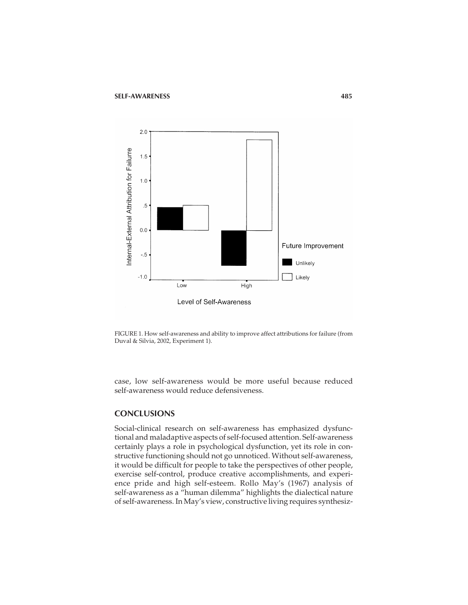

FIGURE 1. How self-awareness and ability to improve affect attributions for failure (from Duval & Silvia, 2002, Experiment 1).

case, low self-awareness would be more useful because reduced self-awareness would reduce defensiveness.

## **CONCLUSIONS**

Social-clinical research on self-awareness has emphasized dysfunctional and maladaptive aspects of self-focused attention. Self-awareness certainly plays a role in psychological dysfunction, yet its role in constructive functioning should not go unnoticed. Without self-awareness, it would be difficult for people to take the perspectives of other people, exercise self-control, produce creative accomplishments, and experience pride and high self-esteem. Rollo May's (1967) analysis of self-awareness as a "human dilemma" highlights the dialectical nature of self-awareness. In May's view, constructive living requires synthesiz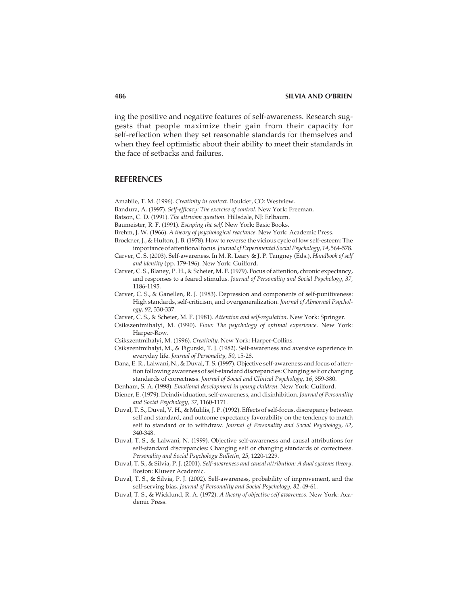ing the positive and negative features of self-awareness. Research suggests that people maximize their gain from their capacity for self-reflection when they set reasonable standards for themselves and when they feel optimistic about their ability to meet their standards in the face of setbacks and failures.

#### **REFERENCES**

Amabile, T. M. (1996). *Creativity in context.* Boulder, CO: Westview.

- Bandura, A. (1997). *Self-efficacy: The exercise of control.* New York: Freeman.
- Batson, C. D. (1991). *The altruism question.* Hillsdale, NJ: Erlbaum.
- Baumeister, R. F. (1991). *Escaping the self.* New York: Basic Books.
- Brehm, J. W. (1966). *A theory of psychological reactance.* New York: Academic Press.
- Brockner, J., & Hulton, J. B. (1978). How to reverse the vicious cycle of low self-esteem: The importance of attentional focus.*Journal of Experimental Social Psychology, 14,* 564-578.
- Carver, C. S. (2003). Self-awareness. In M. R. Leary & J. P. Tangney (Eds.), *Handbook of self and identity* (pp. 179-196). New York: Guilford.
- Carver, C. S., Blaney, P. H., & Scheier, M. F. (1979). Focus of attention, chronic expectancy, and responses to a feared stimulus. *Journal of Personality and Social Psychology, 37,* 1186-1195.
- Carver, C. S., & Ganellen, R. J. (1983). Depression and components of self-punitiveness: High standards, self-criticism, and overgeneralization. *Journal of Abnormal Psychology, 92,* 330-337.
- Carver, C. S., & Scheier, M. F. (1981). *Attention and self-regulation.* New York: Springer.
- Csikszentmihalyi, M. (1990). *Flow: The psychology of optimal experience.* New York: Harper-Row.
- Csikszentmihalyi, M. (1996). *Creativity.* New York: Harper-Collins.
- Csikszentmihalyi, M., & Figurski, T. J. (1982). Self-awareness and aversive experience in everyday life. *Journal of Personality, 50,* 15-28.
- Dana, E. R., Lalwani, N., & Duval, T. S. (1997). Objective self-awareness and focus of attention following awareness of self-standard discrepancies: Changing self or changing standards of correctness. *Journal of Social and Clinical Psychology, 16,* 359-380.
- Denham, S. A. (1998). *Emotional development in young children.* New York: Guilford.
- Diener, E. (1979). Deindividuation, self-awareness, and disinhibition. *Journal of Personality and Social Psychology, 37,* 1160-1171.
- Duval, T. S., Duval, V. H., & Mulilis, J. P. (1992). Effects of self-focus, discrepancy between self and standard, and outcome expectancy favorability on the tendency to match self to standard or to withdraw. *Journal of Personality and Social Psychology, 62,* 340-348.
- Duval, T. S., & Lalwani, N. (1999). Objective self-awareness and causal attributions for self-standard discrepancies: Changing self or changing standards of correctness. *Personality and Social Psychology Bulletin, 25,* 1220-1229.
- Duval, T. S., & Silvia, P. J. (2001). *Self-awareness and causal attribution: A dual systems theory*. Boston: Kluwer Academic.
- Duval, T. S., & Silvia, P. J. (2002). Self-awareness, probability of improvement, and the self-serving bias. *Journal of Personality and Social Psychology, 82,* 49-61.
- Duval, T. S., & Wicklund, R. A. (1972). *A theory of objective self awareness.* New York: Academic Press.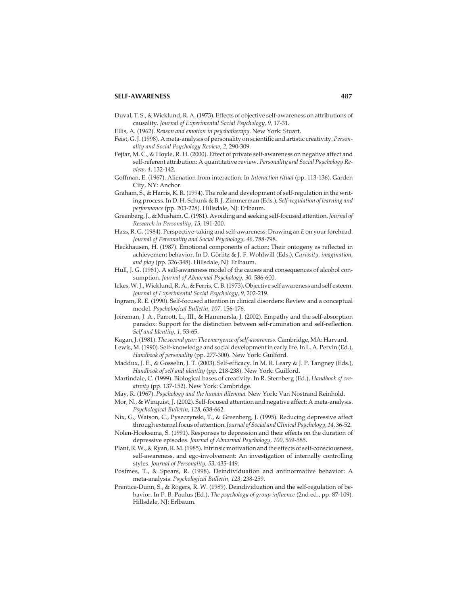- Duval, T. S., & Wicklund, R. A. (1973). Effects of objective self-awareness on attributions of causality. *Journal of Experimental Social Psychology, 9,* 17-31.
- Ellis, A. (1962). *Reason and emotion in psychotherapy.* New York: Stuart.
- Feist, G. J. (1998). A meta-analysis of personality on scientific and artistic creativity. *Personality and Social Psychology Review, 2,* 290-309.
- Fejfar, M. C., & Hoyle, R. H. (2000). Effect of private self-awareness on negative affect and self-referent attribution: A quantitative review. *Personality and Social Psychology Review, 4,* 132-142.
- Goffman, E. (1967). Alienation from interaction. In *Interaction ritual* (pp. 113-136). Garden City, NY: Anchor.
- Graham, S., & Harris, K. R. (1994). The role and development of self-regulation in the writing process. In D. H. Schunk & B. J. Zimmerman (Eds.), *Self-regulation of learning and performance* (pp. 203-228). Hillsdale, NJ: Erlbaum.
- Greenberg, J., & Musham, C. (1981). Avoiding and seeking self-focused attention.*Journal of Research in Personality, 15,* 191-200.
- Hass, R. G. (1984). Perspective-taking and self-awareness: Drawing an *E* on your forehead. *Journal of Personality and Social Psychology, 46,* 788-798.
- Heckhausen, H. (1987). Emotional components of action: Their ontogeny as reflected in achievement behavior. In D. Görlitz & J. F. Wohlwill (Eds.), *Curiosity, imagination, and play* (pp. 326-348). Hillsdale, NJ: Erlbaum.
- Hull, J. G. (1981). A self-awareness model of the causes and consequences of alcohol consumption. *Journal of Abnormal Psychology, 90,* 586-600.
- Ickes, W. J., Wicklund, R. A., & Ferris, C. B. (1973). Objective self awareness and self esteem. *Journal of Experimental Social Psychology, 9,* 202-219.
- Ingram, R. E. (1990). Self-focused attention in clinical disorders: Review and a conceptual model. *Psychological Bulletin, 107,* 156-176.
- Joireman, J. A., Parrott, L., III., & Hammersla, J. (2002). Empathy and the self-absorption paradox: Support for the distinction between self-rumination and self-reflection. *Self and Identity, 1,* 53-65.
- Kagan, J. (1981).*The second year: The emergence of self-awareness.* Cambridge, MA: Harvard.
- Lewis, M. (1990). Self-knowledge and social development in early life. In L. A. Pervin (Ed.), *Handbook of personality* (pp. 277-300). New York: Guilford.
- Maddux, J. E., & Gosselin, J. T. (2003). Self-efficacy. In M. R. Leary & J. P. Tangney (Eds.), *Handbook of self and identity* (pp. 218-238). New York: Guilford.
- Martindale, C. (1999). Biological bases of creativity. In R. Sternberg (Ed.), *Handbook of creativity* (pp. 137-152). New York: Cambridge.
- May, R. (1967). *Psychology and the human dilemma.* New York: Van Nostrand Reinhold.
- Mor, N., & Winquist, J. (2002). Self-focused attention and negative affect: A meta-analysis. *Psychological Bulletin, 128,* 638-662.
- Nix, G., Watson, C., Pyszczynski, T., & Greenberg, J. (1995). Reducing depressive affect through external focus of attention.*Journal of Social and Clinical Psychology, 14,* 36-52.
- Nolen-Hoeksema, S. (1991). Responses to depression and their effects on the duration of depressive episodes. *Journal of Abnormal Psychology, 100,* 569-585.
- Plant, R. W., & Ryan, R. M. (1985). Intrinsic motivation and the effects of self-consciousness, self-awareness, and ego-involvement: An investigation of internally controlling styles. *Journal of Personality, 53,* 435-449.
- Postmes, T., & Spears, R. (1998). Deindividuation and antinormative behavior: A meta-analysis. *Psychological Bulletin, 123,* 238-259.
- Prentice-Dunn, S., & Rogers, R. W. (1989). Deindividuation and the self-regulation of behavior. In P. B. Paulus (Ed.), *The psychology of group influence* (2nd ed., pp. 87-109). Hillsdale, NJ: Erlbaum.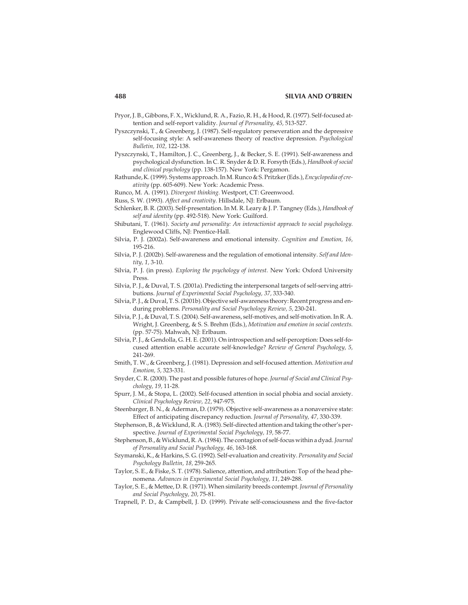#### **488 SILVIA AND O'BRIEN**

- Pryor, J. B., Gibbons, F. X., Wicklund, R. A., Fazio, R. H., & Hood, R. (1977). Self-focused attention and self-report validity. *Journal of Personality, 45,* 513-527.
- Pyszczynski, T., & Greenberg, J. (1987). Self-regulatory perseveration and the depressive self-focusing style: A self-awareness theory of reactive depression. *Psychological Bulletin, 102,* 122-138.
- Pyszczynski, T., Hamilton, J. C., Greenberg, J., & Becker, S. E. (1991). Self-awareness and psychological dysfunction. In C. R. Snyder & D. R. Forsyth (Eds.), *Handbook of social and clinical psychology* (pp. 138-157). New York: Pergamon.
- Rathunde, K. (1999). Systems approach. In M. Runco & S. Pritzker (Eds.),*Encyclopedia of creativity* (pp. 605-609). New York: Academic Press.
- Runco, M. A. (1991). *Divergent thinking.* Westport, CT: Greenwood.
- Russ, S. W. (1993). *Affect and creativity.* Hillsdale, NJ: Erlbaum.
- Schlenker, B. R. (2003). Self-presentation. In M. R. Leary & J. P. Tangney (Eds.), *Handbook of self and identity* (pp. 492-518). New York: Guilford.
- Shibutani, T. (1961). *Society and personality: An interactionist approach to social psychology.* Englewood Cliffs, NJ: Prentice-Hall.
- Silvia, P. J. (2002a). Self-awareness and emotional intensity. *Cognition and Emotion, 16,* 195-216.
- Silvia, P. J. (2002b). Self-awareness and the regulation of emotional intensity. *Self and Identity, 1,* 3-10.
- Silvia, P. J. (in press). *Exploring the psychology of interest.* New York: Oxford University Press.
- Silvia, P. J., & Duval, T. S. (2001a). Predicting the interpersonal targets of self-serving attributions. *Journal of Experimental Social Psychology, 37,* 333-340.
- Silvia, P. J., & Duval, T. S. (2001b). Objective self-awareness theory: Recent progress and enduring problems. *Personality and Social Psychology Review, 5,* 230-241.
- Silvia, P. J., & Duval, T. S. (2004). Self-awareness, self-motives, and self-motivation. In R. A. Wright, J. Greenberg, & S. S. Brehm (Eds.), *Motivation and emotion in social contexts.* (pp. 57-75). Mahwah, NJ: Erlbaum.
- Silvia, P. J., & Gendolla, G. H. E. (2001). On introspection and self-perception: Does self-focused attention enable accurate self-knowledge? *Review of General Psychology, 5,* 241-269.
- Smith, T. W., & Greenberg, J. (1981). Depression and self-focused attention. *Motivation and Emotion, 5,* 323-331.
- Snyder, C. R. (2000). The past and possible futures of hope. *Journal of Social and Clinical Psychology, 19,* 11-28.
- Spurr, J. M., & Stopa, L. (2002). Self-focused attention in social phobia and social anxiety. *Clinical Psychology Review, 22,* 947-975.
- Steenbarger, B. N., & Aderman, D. (1979). Objective self-awareness as a nonaversive state: Effect of anticipating discrepancy reduction. *Journal of Personality, 47,* 330-339.
- Stephenson, B., & Wicklund, R. A. (1983). Self-directed attention and taking the other's perspective. *Journal of Experimental Social Psychology, 19,* 58-77.
- Stephenson, B., & Wicklund, R. A. (1984). The contagion of self-focus within a dyad.*Journal of Personality and Social Psychology, 46,* 163-168.
- Szymanski, K., & Harkins, S. G. (1992). Self-evaluation and creativity. *Personality and Social Psychology Bulletin, 18,* 259-265.
- Taylor, S. E., & Fiske, S. T. (1978). Salience, attention, and attribution: Top of the head phenomena. *Advances in Experimental Social Psychology, 11,* 249-288.
- Taylor, S. E., & Mettee, D. R. (1971). When similarity breeds contempt. *Journal of Personality and Social Psychology, 20,* 75-81.
- Trapnell, P. D., & Campbell, J. D. (1999). Private self-consciousness and the five-factor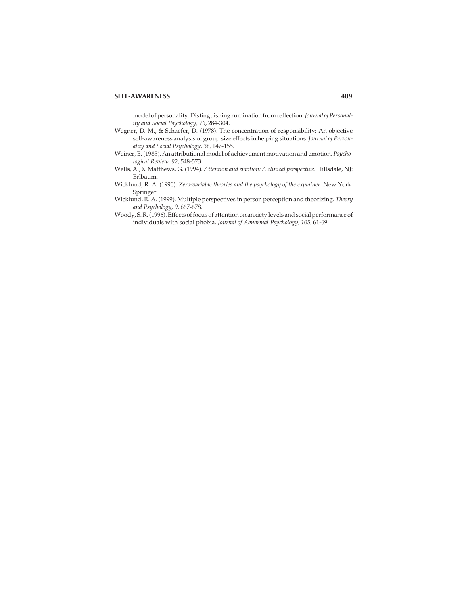model of personality: Distinguishing rumination from reflection.*Journal of Personality and Social Psychology, 76,* 284-304.

- Wegner, D. M., & Schaefer, D. (1978). The concentration of responsibility: An objective self-awareness analysis of group size effects in helping situations. *Journal of Personality and Social Psychology, 36,* 147-155.
- Weiner, B. (1985). An attributional model of achievement motivation and emotion. *Psychological Review, 92,* 548-573.
- Wells, A., & Matthews, G. (1994). *Attention and emotion: A clinical perspective.* Hillsdale, NJ: Erlbaum.
- Wicklund, R. A. (1990). *Zero-variable theories and the psychology of the explainer.* New York: Springer.
- Wicklund, R. A. (1999). Multiple perspectives in person perception and theorizing. *Theory and Psychology, 9,* 667-678.
- Woody, S. R. (1996). Effects of focus of attention on anxiety levels and social performance of individuals with social phobia. *Journal of Abnormal Psychology, 105,* 61-69.